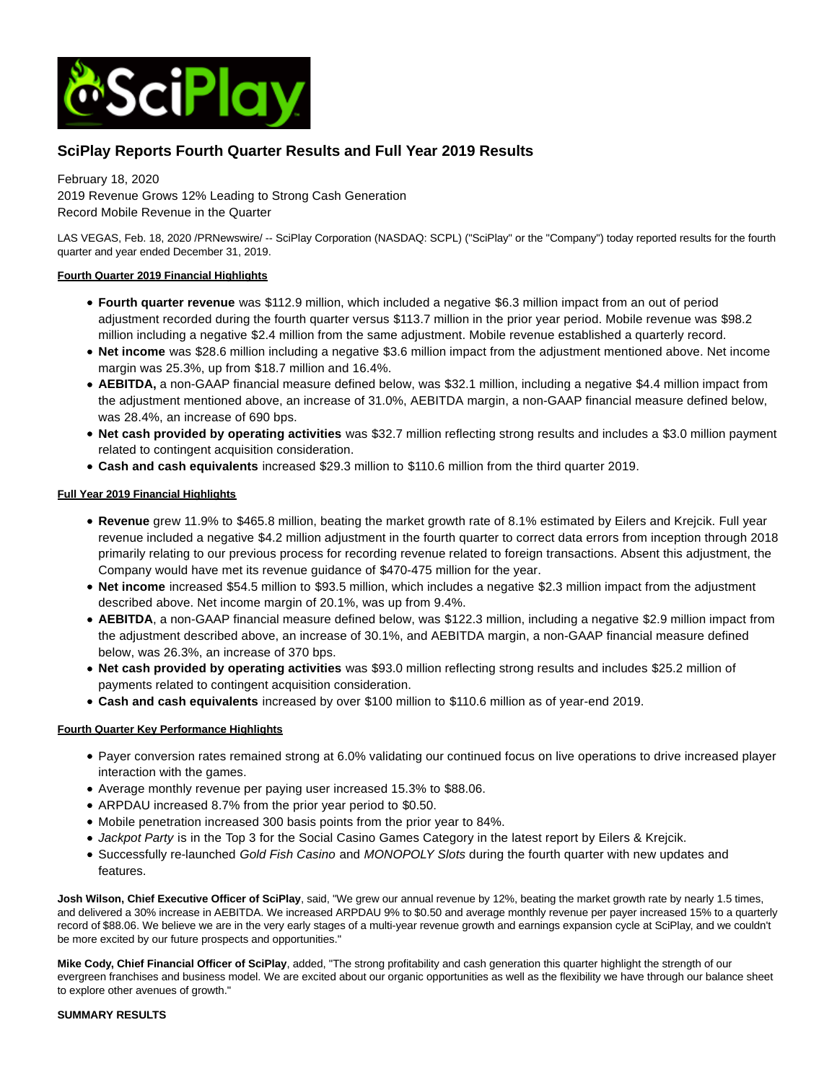

# **SciPlay Reports Fourth Quarter Results and Full Year 2019 Results**

February 18, 2020

2019 Revenue Grows 12% Leading to Strong Cash Generation Record Mobile Revenue in the Quarter

LAS VEGAS, Feb. 18, 2020 /PRNewswire/ -- SciPlay Corporation (NASDAQ: SCPL) ("SciPlay" or the "Company") today reported results for the fourth quarter and year ended December 31, 2019.

# **Fourth Quarter 2019 Financial Highlights**

- **Fourth quarter revenue** was \$112.9 million, which included a negative \$6.3 million impact from an out of period adjustment recorded during the fourth quarter versus \$113.7 million in the prior year period. Mobile revenue was \$98.2 million including a negative \$2.4 million from the same adjustment. Mobile revenue established a quarterly record.
- **Net income** was \$28.6 million including a negative \$3.6 million impact from the adjustment mentioned above. Net income margin was 25.3%, up from \$18.7 million and 16.4%.
- **AEBITDA,** a non-GAAP financial measure defined below, was \$32.1 million, including a negative \$4.4 million impact from the adjustment mentioned above, an increase of 31.0%, AEBITDA margin, a non-GAAP financial measure defined below, was 28.4%, an increase of 690 bps.
- **Net cash provided by operating activities** was \$32.7 million reflecting strong results and includes a \$3.0 million payment related to contingent acquisition consideration.
- **Cash and cash equivalents** increased \$29.3 million to \$110.6 million from the third quarter 2019.

# **Full Year 2019 Financial Highlights**

- **Revenue** grew 11.9% to \$465.8 million, beating the market growth rate of 8.1% estimated by Eilers and Krejcik. Full year revenue included a negative \$4.2 million adjustment in the fourth quarter to correct data errors from inception through 2018 primarily relating to our previous process for recording revenue related to foreign transactions. Absent this adjustment, the Company would have met its revenue guidance of \$470-475 million for the year.
- **Net income** increased \$54.5 million to \$93.5 million, which includes a negative \$2.3 million impact from the adjustment described above. Net income margin of 20.1%, was up from 9.4%.
- **AEBITDA**, a non-GAAP financial measure defined below, was \$122.3 million, including a negative \$2.9 million impact from the adjustment described above, an increase of 30.1%, and AEBITDA margin, a non-GAAP financial measure defined below, was 26.3%, an increase of 370 bps.
- **Net cash provided by operating activities** was \$93.0 million reflecting strong results and includes \$25.2 million of payments related to contingent acquisition consideration.
- **Cash and cash equivalents** increased by over \$100 million to \$110.6 million as of year-end 2019.

# **Fourth Quarter Key Performance Highlights**

- Payer conversion rates remained strong at 6.0% validating our continued focus on live operations to drive increased player interaction with the games.
- Average monthly revenue per paying user increased 15.3% to \$88.06.
- ARPDAU increased 8.7% from the prior year period to \$0.50.
- Mobile penetration increased 300 basis points from the prior year to 84%.
- Jackpot Party is in the Top 3 for the Social Casino Games Category in the latest report by Eilers & Krejcik.
- Successfully re-launched Gold Fish Casino and MONOPOLY Slots during the fourth quarter with new updates and features.

**Josh Wilson, Chief Executive Officer of SciPlay**, said, "We grew our annual revenue by 12%, beating the market growth rate by nearly 1.5 times, and delivered a 30% increase in AEBITDA. We increased ARPDAU 9% to \$0.50 and average monthly revenue per payer increased 15% to a quarterly record of \$88.06. We believe we are in the very early stages of a multi-year revenue growth and earnings expansion cycle at SciPlay, and we couldn't be more excited by our future prospects and opportunities."

**Mike Cody, Chief Financial Officer of SciPlay**, added, "The strong profitability and cash generation this quarter highlight the strength of our evergreen franchises and business model. We are excited about our organic opportunities as well as the flexibility we have through our balance sheet to explore other avenues of growth."

### **SUMMARY RESULTS**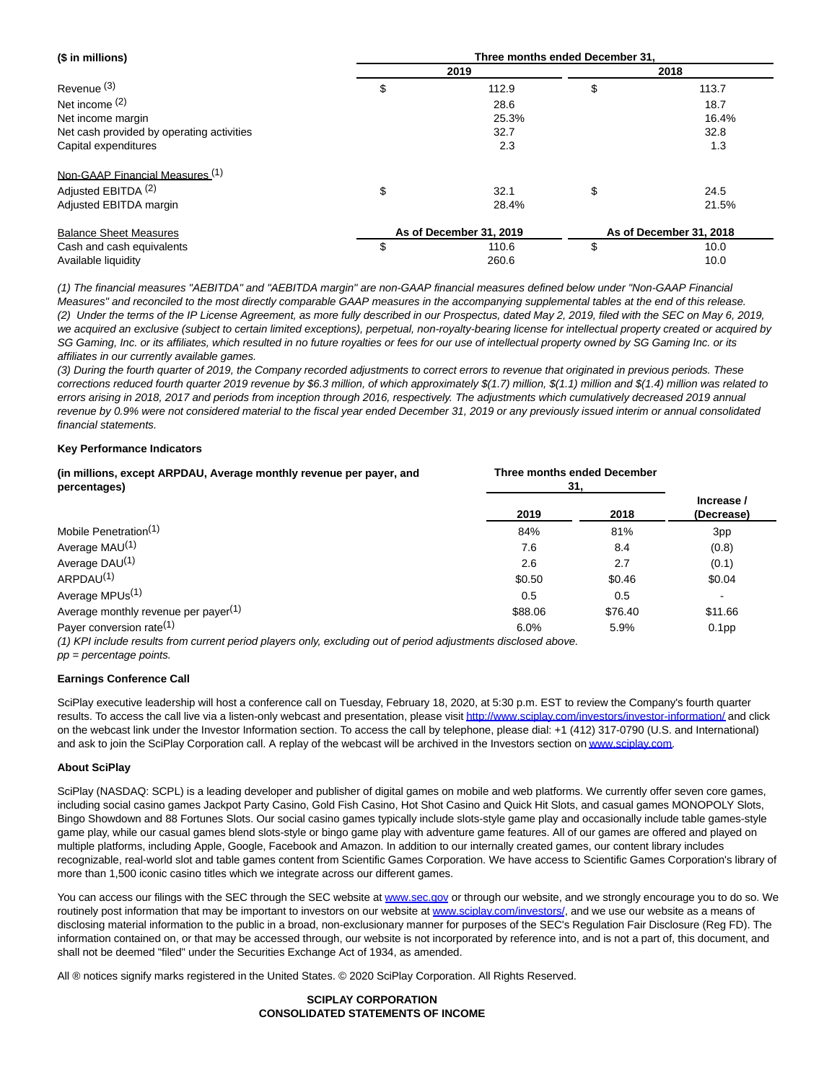| (\$ in millions)                          | Three months ended December 31. |                         |    |                         |  |  |  |  |
|-------------------------------------------|---------------------------------|-------------------------|----|-------------------------|--|--|--|--|
|                                           |                                 | 2019                    |    | 2018                    |  |  |  |  |
| Revenue <sup>(3)</sup>                    | \$                              | 112.9                   | \$ | 113.7                   |  |  |  |  |
| Net income $(2)$                          |                                 | 28.6                    |    | 18.7                    |  |  |  |  |
| Net income margin                         |                                 | 25.3%                   |    | 16.4%                   |  |  |  |  |
| Net cash provided by operating activities |                                 | 32.7                    |    |                         |  |  |  |  |
| Capital expenditures                      |                                 | 2.3                     |    |                         |  |  |  |  |
| Non-GAAP Financial Measures (1)           |                                 |                         |    |                         |  |  |  |  |
| Adjusted EBITDA <sup>(2)</sup>            | \$                              | 32.1                    | \$ | 24.5                    |  |  |  |  |
| Adjusted EBITDA margin                    |                                 | 28.4%                   |    | 21.5%                   |  |  |  |  |
| <b>Balance Sheet Measures</b>             |                                 | As of December 31, 2019 |    | As of December 31, 2018 |  |  |  |  |
| Cash and cash equivalents                 | S                               | 110.6                   | \$ | 10.0                    |  |  |  |  |
| Available liquidity                       |                                 | 260.6                   |    | 10.0                    |  |  |  |  |

(1) The financial measures "AEBITDA" and "AEBITDA margin" are non-GAAP financial measures defined below under "Non-GAAP Financial Measures" and reconciled to the most directly comparable GAAP measures in the accompanying supplemental tables at the end of this release. (2) Under the terms of the IP License Agreement, as more fully described in our Prospectus, dated May 2, 2019, filed with the SEC on May 6, 2019, we acquired an exclusive (subject to certain limited exceptions), perpetual, non-royalty-bearing license for intellectual property created or acquired by SG Gaming, Inc. or its affiliates, which resulted in no future royalties or fees for our use of intellectual property owned by SG Gaming Inc. or its affiliates in our currently available games.

(3) During the fourth quarter of 2019, the Company recorded adjustments to correct errors to revenue that originated in previous periods. These corrections reduced fourth quarter 2019 revenue by \$6.3 million, of which approximately \$(1.7) million, \$(1.1) million and \$(1.4) million was related to errors arising in 2018, 2017 and periods from inception through 2016, respectively. The adjustments which cumulatively decreased 2019 annual revenue by 0.9% were not considered material to the fiscal year ended December 31, 2019 or any previously issued interim or annual consolidated financial statements.

# **Key Performance Indicators**

| (in millions, except ARPDAU, Average monthly revenue per payer, and<br>percentages)                                           | <b>Three months ended December</b><br>31. |         |                          |
|-------------------------------------------------------------------------------------------------------------------------------|-------------------------------------------|---------|--------------------------|
|                                                                                                                               | 2019                                      | 2018    | Increase /<br>(Decrease) |
| Mobile Penetration <sup>(1)</sup>                                                                                             | 84%                                       | 81%     | 3pp                      |
| Average MAU <sup>(1)</sup>                                                                                                    | 7.6                                       | 8.4     | (0.8)                    |
| Average DAU <sup>(1)</sup>                                                                                                    | 2.6                                       | 2.7     | (0.1)                    |
| ARPDAU <sup>(1)</sup>                                                                                                         | \$0.50                                    | \$0.46  | \$0.04                   |
| Average MPUs <sup>(1)</sup>                                                                                                   | 0.5                                       | 0.5     |                          |
| Average monthly revenue per payer <sup>(1)</sup>                                                                              | \$88.06                                   | \$76.40 | \$11.66                  |
| Payer conversion rate <sup>(1)</sup>                                                                                          | 6.0%                                      | 5.9%    | 0.1 <sub>pp</sub>        |
| 74) IZBI besteats assemble factor comparing a sabelistic comparison and the factor of collection and all states of states and |                                           |         |                          |

(1) KPI include results from current period players only, excluding out of period adjustments disclosed above. pp = percentage points.

#### **Earnings Conference Call**

SciPlay executive leadership will host a conference call on Tuesday, February 18, 2020, at 5:30 p.m. EST to review the Company's fourth quarter results. To access the call live via a listen-only webcast and presentation, please visi[t http://www.sciplay.com/investors/investor-information/ a](http://www.sciplay.com/investors/investor-information/)nd click on the webcast link under the Investor Information section. To access the call by telephone, please dial: +1 (412) 317-0790 (U.S. and International) and ask to join the SciPlay Corporation call. A replay of the webcast will be archived in the Investors section o[n www.sciplay.com.](http://www.sciplay.com/)

#### **About SciPlay**

SciPlay (NASDAQ: SCPL) is a leading developer and publisher of digital games on mobile and web platforms. We currently offer seven core games, including social casino games Jackpot Party Casino, Gold Fish Casino, Hot Shot Casino and Quick Hit Slots, and casual games MONOPOLY Slots, Bingo Showdown and 88 Fortunes Slots. Our social casino games typically include slots-style game play and occasionally include table games-style game play, while our casual games blend slots-style or bingo game play with adventure game features. All of our games are offered and played on multiple platforms, including Apple, Google, Facebook and Amazon. In addition to our internally created games, our content library includes recognizable, real-world slot and table games content from Scientific Games Corporation. We have access to Scientific Games Corporation's library of more than 1,500 iconic casino titles which we integrate across our different games.

You can access our filings with the SEC through the SEC website at [www.sec.gov o](http://www.sec.gov/)r through our website, and we strongly encourage you to do so. We routinely post information that may be important to investors on our website at [www.sciplay.com/investors/,](http://www.sciplay.com/investors/) and we use our website as a means of disclosing material information to the public in a broad, non-exclusionary manner for purposes of the SEC's Regulation Fair Disclosure (Reg FD). The information contained on, or that may be accessed through, our website is not incorporated by reference into, and is not a part of, this document, and shall not be deemed "filed" under the Securities Exchange Act of 1934, as amended.

All ® notices signify marks registered in the United States. © 2020 SciPlay Corporation. All Rights Reserved.

#### **SCIPLAY CORPORATION CONSOLIDATED STATEMENTS OF INCOME**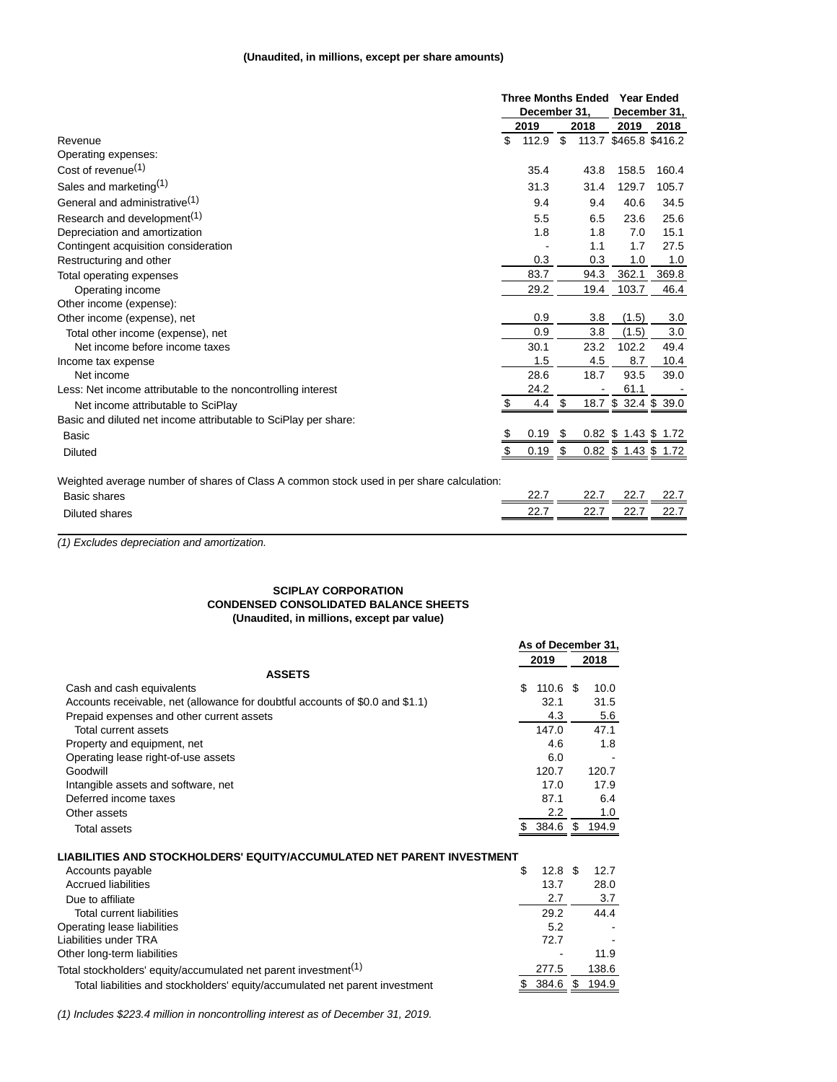# **(Unaudited, in millions, except per share amounts)**

|                                                                                          | <b>Three Months Ended</b> |      |      | <b>Year Ended</b>    |                       |  |
|------------------------------------------------------------------------------------------|---------------------------|------|------|----------------------|-----------------------|--|
|                                                                                          | December 31,              |      |      | December 31,         |                       |  |
|                                                                                          | 2019                      |      | 2018 | 2019                 | 2018                  |  |
| Revenue                                                                                  | \$<br>112.9               | \$   |      |                      | 113.7 \$465.8 \$416.2 |  |
| Operating expenses:                                                                      |                           |      |      |                      |                       |  |
| Cost of revenue <sup>(1)</sup>                                                           | 35.4                      |      | 43.8 | 158.5                | 160.4                 |  |
| Sales and marketing(1)                                                                   | 31.3                      |      | 31.4 | 129.7                | 105.7                 |  |
| General and administrative <sup>(1)</sup>                                                | 9.4                       |      | 9.4  | 40.6                 | 34.5                  |  |
| Research and development <sup>(1)</sup>                                                  | 5.5                       |      | 6.5  | 23.6                 | 25.6                  |  |
| Depreciation and amortization                                                            | 1.8                       |      | 1.8  | 7.0                  | 15.1                  |  |
| Contingent acquisition consideration                                                     |                           |      | 1.1  | 1.7                  | 27.5                  |  |
| Restructuring and other                                                                  | 0.3                       |      | 0.3  | 1.0                  | 1.0                   |  |
| Total operating expenses                                                                 | 83.7                      |      | 94.3 | 362.1                | 369.8                 |  |
| Operating income                                                                         | 29.2                      |      | 19.4 | 103.7                | 46.4                  |  |
| Other income (expense):                                                                  |                           |      |      |                      |                       |  |
| Other income (expense), net                                                              | 0.9                       |      | 3.8  | (1.5)                | 3.0                   |  |
| Total other income (expense), net                                                        | 0.9                       |      | 3.8  | (1.5)                | 3.0                   |  |
| Net income before income taxes                                                           | 30.1                      |      | 23.2 | 102.2                | 49.4                  |  |
| Income tax expense                                                                       | 1.5                       |      | 4.5  | 8.7                  | 10.4                  |  |
| Net income                                                                               | 28.6                      |      | 18.7 | 93.5                 | 39.0                  |  |
| Less: Net income attributable to the noncontrolling interest                             | 24.2                      |      |      | 61.1                 |                       |  |
| Net income attributable to SciPlay                                                       | \$<br>4.4                 | \$   |      |                      | 18.7 \$ 32.4 \$ 39.0  |  |
| Basic and diluted net income attributable to SciPlay per share:                          |                           |      |      |                      |                       |  |
| Basic                                                                                    | \$<br>0.19                | - \$ |      | 0.82 \$ 1.43 \$ 1.72 |                       |  |
| <b>Diluted</b>                                                                           | \$<br>0.19                | \$   |      | 0.82 \$ 1.43 \$ 1.72 |                       |  |
| Mojabted average number of charge of Class A common stock used in per share calculation: |                           |      |      |                      |                       |  |

Weighted average number of shares of Class A common stock used in per share calculation:

| . .<br>$\sim$<br><b>Basic shares</b> | າາ -<br>--        | 22.7<br><u>.</u> | 22.7<br>--- | 22.7<br><u>__ _ .</u> |
|--------------------------------------|-------------------|------------------|-------------|-----------------------|
| Diluted shares                       | ד ממ<br><u>__</u> | 22.7<br><u></u>  | 227<br>---  | 22.7<br><u>____</u>   |
|                                      |                   |                  |             |                       |

(1) Excludes depreciation and amortization.

### **SCIPLAY CORPORATION CONDENSED CONSOLIDATED BALANCE SHEETS (Unaudited, in millions, except par value)**

|                                                                               | As of December 31, |                   |    |       |
|-------------------------------------------------------------------------------|--------------------|-------------------|----|-------|
|                                                                               |                    | 2019              |    | 2018  |
| <b>ASSETS</b>                                                                 |                    |                   |    |       |
| Cash and cash equivalents                                                     | \$.                | $110.6$ \$        |    | 10.0  |
| Accounts receivable, net (allowance for doubtful accounts of \$0.0 and \$1.1) |                    | 32.1              |    | 31.5  |
| Prepaid expenses and other current assets                                     |                    | 4.3               |    | 5.6   |
| Total current assets                                                          |                    | 147.0             |    | 47.1  |
| Property and equipment, net                                                   |                    | 4.6               |    | 1.8   |
| Operating lease right-of-use assets                                           |                    | 6.0               |    |       |
| Goodwill                                                                      |                    | 120.7             |    | 120.7 |
| Intangible assets and software, net                                           |                    | 17.0              |    | 17.9  |
| Deferred income taxes                                                         |                    | 87.1              |    | 6.4   |
| Other assets                                                                  |                    | 2.2               |    | 1.0   |
| <b>Total assets</b>                                                           |                    | 384.6 \$ 194.9    |    |       |
|                                                                               |                    |                   |    |       |
| LIABILITIES AND STOCKHOLDERS' EQUITY/ACCUMULATED NET PARENT INVESTMENT        |                    |                   |    |       |
| Accounts payable                                                              | \$                 | $12.8 \text{ } $$ |    | 12.7  |
| <b>Accrued liabilities</b>                                                    |                    | 13.7              |    | 28.0  |
| Due to affiliate                                                              |                    | 2.7               |    | 3.7   |
| Total current liabilities                                                     |                    | 29.2              |    | 44.4  |
| Operating lease liabilities                                                   |                    | 5.2               |    |       |
| Liabilities under TRA                                                         |                    | 72.7              |    |       |
| Other long-term liabilities                                                   |                    |                   |    | 11.9  |
| Total stockholders' equity/accumulated net parent investment <sup>(1)</sup>   |                    | 277.5             |    | 138.6 |
| Total liabilities and stockholders' equity/accumulated net parent investment  |                    | 384.6             | \$ | 194.9 |

(1) Includes \$223.4 million in noncontrolling interest as of December 31, 2019.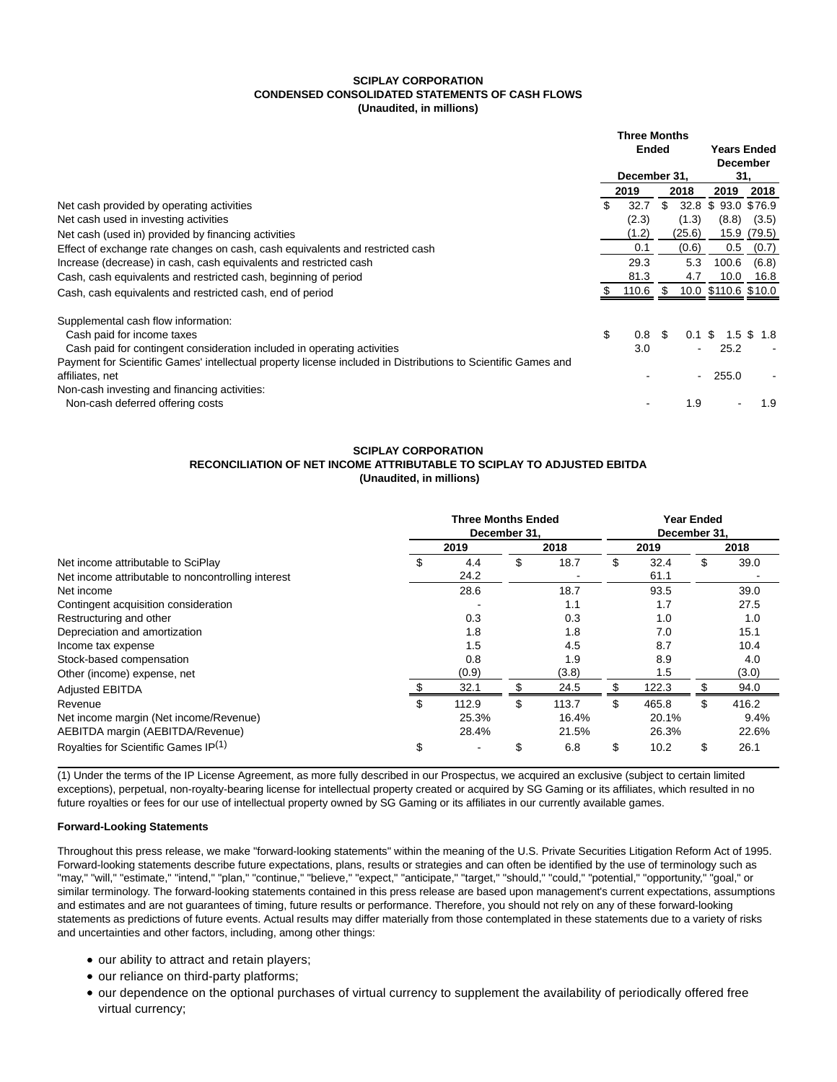#### **SCIPLAY CORPORATION CONDENSED CONSOLIDATED STATEMENTS OF CASH FLOWS (Unaudited, in millions)**

|                                                                                                               | <b>Three Months</b><br><b>Ended</b><br>December 31. |       |     |          |                     |          |  |
|---------------------------------------------------------------------------------------------------------------|-----------------------------------------------------|-------|-----|----------|---------------------|----------|--|
|                                                                                                               |                                                     |       |     |          | <b>Years Ended</b>  |          |  |
|                                                                                                               |                                                     |       |     |          |                     | December |  |
|                                                                                                               |                                                     |       |     |          | 31.                 |          |  |
|                                                                                                               |                                                     | 2019  |     | 2018     | 2019                | 2018     |  |
| Net cash provided by operating activities                                                                     | \$                                                  | 32.7  | \$  | 32.8     | \$93.0 \$76.9       |          |  |
| Net cash used in investing activities                                                                         |                                                     | (2.3) |     | (1.3)    | (8.8)               | (3.5)    |  |
| Net cash (used in) provided by financing activities                                                           |                                                     | (1.2) |     | (25.6)   | 15.9                | (79.5)   |  |
| Effect of exchange rate changes on cash, cash equivalents and restricted cash                                 |                                                     | 0.1   |     | (0.6)    | 0.5                 | (0.7)    |  |
| Increase (decrease) in cash, cash equivalents and restricted cash                                             |                                                     | 29.3  |     | 5.3      | 100.6               | (6.8)    |  |
| Cash, cash equivalents and restricted cash, beginning of period                                               |                                                     | 81.3  |     | 4.7      | 10.0                | 16.8     |  |
| Cash, cash equivalents and restricted cash, end of period                                                     |                                                     | 110.6 | -\$ |          | 10.0 \$110.6 \$10.0 |          |  |
| Supplemental cash flow information:                                                                           |                                                     |       |     |          |                     |          |  |
| Cash paid for income taxes                                                                                    | \$                                                  | 0.8   | -\$ | $0.1$ \$ | 1.5                 | 1.8      |  |
| Cash paid for contingent consideration included in operating activities                                       |                                                     | 3.0   |     | ÷.       | 25.2                |          |  |
| Payment for Scientific Games' intellectual property license included in Distributions to Scientific Games and |                                                     |       |     |          |                     |          |  |
| affiliates, net                                                                                               |                                                     |       |     | $\sim$   | 255.0               |          |  |
| Non-cash investing and financing activities:                                                                  |                                                     |       |     |          |                     |          |  |
| Non-cash deferred offering costs                                                                              |                                                     |       |     | 1.9      |                     | 1.9      |  |

### **SCIPLAY CORPORATION RECONCILIATION OF NET INCOME ATTRIBUTABLE TO SCIPLAY TO ADJUSTED EBITDA (Unaudited, in millions)**

|                                                    | <b>Three Months Ended</b><br>December 31. |       |     |       | <b>Year Ended</b><br>December 31. |       |    |       |
|----------------------------------------------------|-------------------------------------------|-------|-----|-------|-----------------------------------|-------|----|-------|
|                                                    | 2019                                      |       |     | 2018  |                                   | 2019  |    | 2018  |
| Net income attributable to SciPlay                 | S                                         | 4.4   | \$  | 18.7  | \$                                | 32.4  | \$ | 39.0  |
| Net income attributable to noncontrolling interest |                                           | 24.2  |     |       |                                   | 61.1  |    |       |
| Net income                                         |                                           | 28.6  |     | 18.7  |                                   | 93.5  |    | 39.0  |
| Contingent acquisition consideration               |                                           |       |     | 1.1   |                                   | 1.7   |    | 27.5  |
| Restructuring and other                            |                                           | 0.3   |     | 0.3   |                                   | 1.0   |    | 1.0   |
| Depreciation and amortization                      |                                           | 1.8   |     | 1.8   |                                   | 7.0   |    | 15.1  |
| Income tax expense                                 |                                           | 1.5   |     | 4.5   |                                   | 8.7   |    | 10.4  |
| Stock-based compensation                           |                                           | 0.8   |     | 1.9   |                                   | 8.9   |    | 4.0   |
| Other (income) expense, net                        |                                           | (0.9) |     | (3.8) |                                   | 1.5   |    | (3.0) |
| <b>Adjusted EBITDA</b>                             |                                           | 32.1  |     | 24.5  | S                                 | 122.3 |    | 94.0  |
| Revenue                                            | \$                                        | 112.9 | \$. | 113.7 | \$                                | 465.8 | \$ | 416.2 |
| Net income margin (Net income/Revenue)             |                                           | 25.3% |     | 16.4% |                                   | 20.1% |    | 9.4%  |
| AEBITDA margin (AEBITDA/Revenue)                   |                                           | 28.4% |     | 21.5% |                                   | 26.3% |    | 22.6% |
| Royalties for Scientific Games IP(1)               | \$                                        |       | \$  | 6.8   | \$                                | 10.2  | S  | 26.1  |

(1) Under the terms of the IP License Agreement, as more fully described in our Prospectus, we acquired an exclusive (subject to certain limited exceptions), perpetual, non-royalty-bearing license for intellectual property created or acquired by SG Gaming or its affiliates, which resulted in no future royalties or fees for our use of intellectual property owned by SG Gaming or its affiliates in our currently available games.

### **Forward-Looking Statements**

Throughout this press release, we make "forward-looking statements" within the meaning of the U.S. Private Securities Litigation Reform Act of 1995. Forward-looking statements describe future expectations, plans, results or strategies and can often be identified by the use of terminology such as "may," "will," "estimate," "intend," "plan," "continue," "believe," "expect," "anticipate," "target," "should," "could," "potential," "opportunity," "goal," or similar terminology. The forward-looking statements contained in this press release are based upon management's current expectations, assumptions and estimates and are not guarantees of timing, future results or performance. Therefore, you should not rely on any of these forward-looking statements as predictions of future events. Actual results may differ materially from those contemplated in these statements due to a variety of risks and uncertainties and other factors, including, among other things:

- our ability to attract and retain players;
- our reliance on third-party platforms;
- our dependence on the optional purchases of virtual currency to supplement the availability of periodically offered free virtual currency;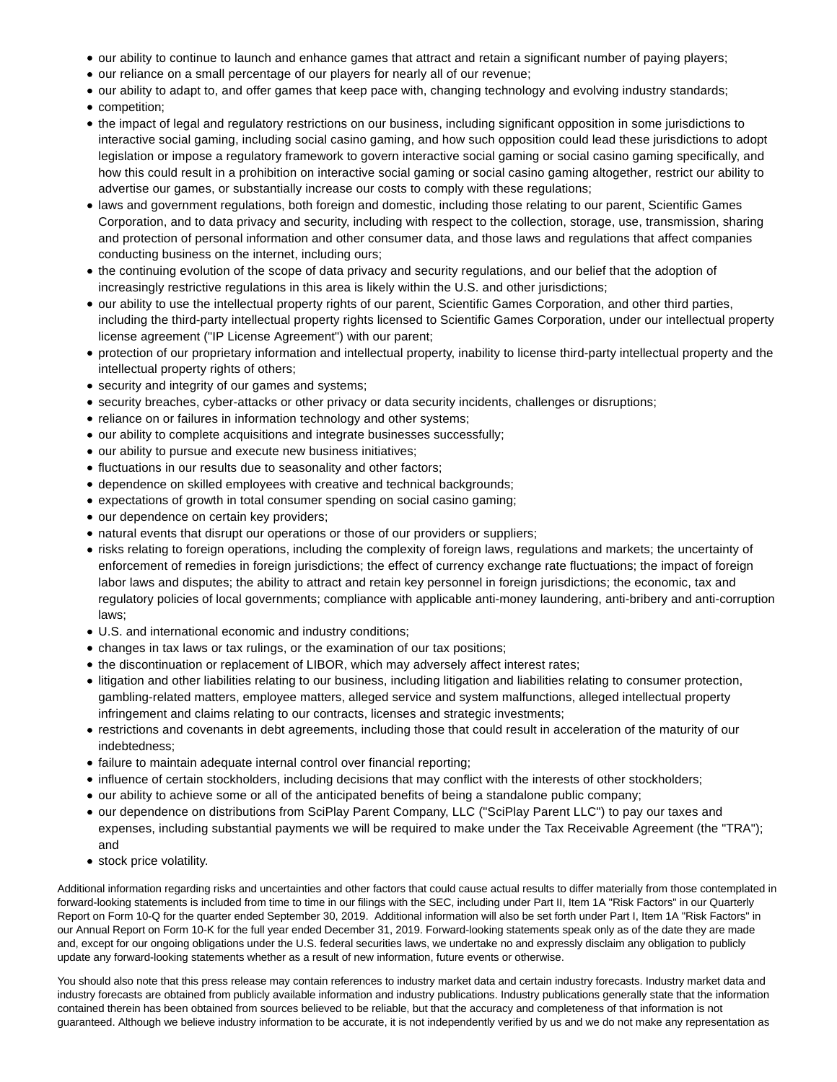- our ability to continue to launch and enhance games that attract and retain a significant number of paying players;
- our reliance on a small percentage of our players for nearly all of our revenue;
- our ability to adapt to, and offer games that keep pace with, changing technology and evolving industry standards;
- competition;
- the impact of legal and regulatory restrictions on our business, including significant opposition in some jurisdictions to interactive social gaming, including social casino gaming, and how such opposition could lead these jurisdictions to adopt legislation or impose a regulatory framework to govern interactive social gaming or social casino gaming specifically, and how this could result in a prohibition on interactive social gaming or social casino gaming altogether, restrict our ability to advertise our games, or substantially increase our costs to comply with these regulations;
- laws and government regulations, both foreign and domestic, including those relating to our parent, Scientific Games Corporation, and to data privacy and security, including with respect to the collection, storage, use, transmission, sharing and protection of personal information and other consumer data, and those laws and regulations that affect companies conducting business on the internet, including ours;
- the continuing evolution of the scope of data privacy and security regulations, and our belief that the adoption of increasingly restrictive regulations in this area is likely within the U.S. and other jurisdictions;
- our ability to use the intellectual property rights of our parent, Scientific Games Corporation, and other third parties, including the third-party intellectual property rights licensed to Scientific Games Corporation, under our intellectual property license agreement ("IP License Agreement") with our parent;
- protection of our proprietary information and intellectual property, inability to license third-party intellectual property and the intellectual property rights of others;
- security and integrity of our games and systems;
- security breaches, cyber-attacks or other privacy or data security incidents, challenges or disruptions;
- reliance on or failures in information technology and other systems;
- our ability to complete acquisitions and integrate businesses successfully;
- our ability to pursue and execute new business initiatives;
- $\bullet$  fluctuations in our results due to seasonality and other factors;
- dependence on skilled employees with creative and technical backgrounds;
- expectations of growth in total consumer spending on social casino gaming;
- our dependence on certain key providers;
- natural events that disrupt our operations or those of our providers or suppliers;
- risks relating to foreign operations, including the complexity of foreign laws, regulations and markets; the uncertainty of enforcement of remedies in foreign jurisdictions; the effect of currency exchange rate fluctuations; the impact of foreign labor laws and disputes; the ability to attract and retain key personnel in foreign jurisdictions; the economic, tax and regulatory policies of local governments; compliance with applicable anti-money laundering, anti-bribery and anti-corruption laws;
- U.S. and international economic and industry conditions;
- changes in tax laws or tax rulings, or the examination of our tax positions;
- the discontinuation or replacement of LIBOR, which may adversely affect interest rates;
- litigation and other liabilities relating to our business, including litigation and liabilities relating to consumer protection, gambling-related matters, employee matters, alleged service and system malfunctions, alleged intellectual property infringement and claims relating to our contracts, licenses and strategic investments;
- restrictions and covenants in debt agreements, including those that could result in acceleration of the maturity of our indebtedness;
- failure to maintain adequate internal control over financial reporting;
- influence of certain stockholders, including decisions that may conflict with the interests of other stockholders;
- our ability to achieve some or all of the anticipated benefits of being a standalone public company;
- our dependence on distributions from SciPlay Parent Company, LLC ("SciPlay Parent LLC") to pay our taxes and expenses, including substantial payments we will be required to make under the Tax Receivable Agreement (the "TRA"); and
- stock price volatility.

Additional information regarding risks and uncertainties and other factors that could cause actual results to differ materially from those contemplated in forward-looking statements is included from time to time in our filings with the SEC, including under Part II, Item 1A "Risk Factors" in our Quarterly Report on Form 10-Q for the quarter ended September 30, 2019. Additional information will also be set forth under Part I, Item 1A "Risk Factors" in our Annual Report on Form 10-K for the full year ended December 31, 2019. Forward-looking statements speak only as of the date they are made and, except for our ongoing obligations under the U.S. federal securities laws, we undertake no and expressly disclaim any obligation to publicly update any forward-looking statements whether as a result of new information, future events or otherwise.

You should also note that this press release may contain references to industry market data and certain industry forecasts. Industry market data and industry forecasts are obtained from publicly available information and industry publications. Industry publications generally state that the information contained therein has been obtained from sources believed to be reliable, but that the accuracy and completeness of that information is not guaranteed. Although we believe industry information to be accurate, it is not independently verified by us and we do not make any representation as